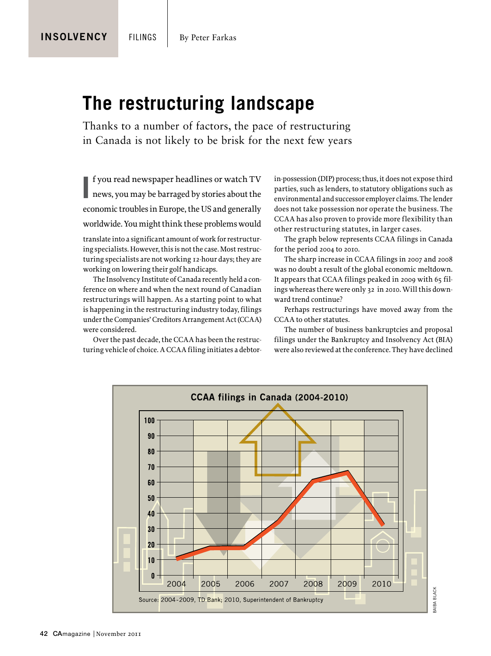# **The restructuring landscape**

Thanks to a number of factors, the pace of restructuring in Canada is not likely to be brisk for the next few years

f you read newspaper headlines or watch TV news, you may be barraged by stories about the economic troubles in Europe, the US and generally worldwide. You might think these problems would **I**

translate into a significant amount of work for restructuring specialists. However, this is not the case. Most restructuring specialists are not working 12-hour days; they are working on lowering their golf handicaps.

The Insolvency Institute of Canada recently held a conference on where and when the next round of Canadian restructurings will happen. As a starting point to what is happening in the restructuring industry today, filings under the Companies' Creditors Arrangement Act(CCAA) were considered.

Over the past decade, the CCAA has been the restructuring vehicle of choice. A CCAA filing initiates a debtorin-possession (DIP) process; thus, it does not expose third parties, such as lenders, to statutory obligations such as environmental and successor employer claims. The lender does not take possession nor operate the business. The CCAA has also proven to provide more flexibility than other restructuring statutes, in larger cases.

The graph below represents CCAA filings in Canada for the period 2004 to 2010.

The sharp increase in CCAA filings in 2007 and 2008 was no doubt a result of the global economic meltdown. It appears that CCAA filings peaked in 2009 with 65 filings whereas there were only 32 in 2010. Will this downward trend continue?

Perhaps restructurings have moved away from the CCAA to other statutes.

The number of business bankruptcies and proposal filings under the Bankruptcy and Insolvency Act (BIA) were also reviewed at the conference. They have declined



42 CAmagazine | November 2011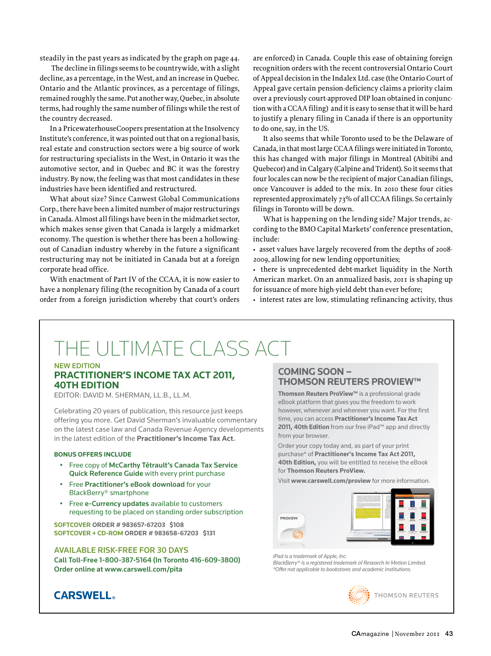steadily in the past years as indicated by the graph on page 44.

 The decline in filings seems to be countrywide, with a slight decline, as a percentage, in the West, and an increase in Quebec. Ontario and the Atlantic provinces, as a percentage of filings, remained roughly the same. Put another way, Quebec, in absolute terms, had roughly the same number of filings while the rest of the country decreased.

In a PricewaterhouseCoopers presentation at the Insolvency Institute's conference, it was pointed out that on a regional basis, real estate and construction sectors were a big source of work for restructuring specialists in the West, in Ontario it was the automotive sector, and in Quebec and BC it was the forestry industry. By now, the feeling was that most candidates in these industries have been identified and restructured.

What about size? Since Canwest Global Communications Corp., there have been a limited number of major restructurings in Canada. Almost all filings have been in the midmarket sector, which makes sense given that Canada is largely a midmarket economy. The question is whether there has been a hollowingout of Canadian industry whereby in the future a significant restructuring may not be initiated in Canada but at a foreign corporate head office.

With enactment of Part IV of the CCAA, it is now easier to have a nonplenary filing (the recognition by Canada of a court order from a foreign jurisdiction whereby that court's orders are enforced) in Canada. Couple this ease of obtaining foreign recognition orders with the recent controversial Ontario Court of Appeal decision in the Indalex Ltd. case (the Ontario Court of Appeal gave certain pension-deficiency claims a priority claim over a previously court-approved DIP loan obtained in conjunction with a CCAA filing) and it is easy to sense that it will be hard to justify a plenary filing in Canada if there is an opportunity to do one, say, in the US.

It also seems that while Toronto used to be the Delaware of Canada, in that most large CCAA filings were initiated in Toronto, this has changed with major filings in Montreal (Abitibi and Quebecor) and in Calgary (Calpine and Trident). So it seems that four locales can now be the recipient of major Canadian filings, once Vancouver is added to the mix. In 2010 these four cities represented approximately 73% of all CCAA filings. So certainly filings in Toronto will be down.

What is happening on the lending side? Major trends, according to the BMO Capital Markets' conference presentation, include:

• asset values have largely recovered from the depths of 2008- 2009, allowing for new lending opportunities;

• there is unprecedented debt-market liquidity in the North American market. On an annualized basis, 2011 is shaping up for issuance of more high-yield debt than ever before;

• interest rates are low, stimulating refinancing activity, thus

# The ulTimaTe class acT

### New editioN **PRACTiTionER'S inComE TAx ACT 2011, 40TH EdiTion**

EditOr: daVid M. ShErMan, LL.B., LL.M.

Celebrating 20 years of publication, this resource just keeps offering you more. Get David Sherman's invaluable commentary on the latest case law and Canada Revenue Agency developments in the latest edition of the **Practitioner's income Tax Act.**

#### **BonUS offERS inClUdE**

- Free copy of McCarthy Tétrault's Canada Tax Service Quick Reference Guide with every print purchase
- Free Practitioner's eBook download for your BlackBerry® smartphone
- Free e-Currency updates available to customers requesting to be placed on standing order subscription

**SofTCoVER oRdER # 983657-67203 \$108 SofTCoVER + Cd-Rom oRdER # 983658-67203 \$131**

### AvAilABle RiSk-fRee foR 30 dAyS

Call Toll-Free 1-800-387-5164 (In Toronto 416-609-3800) order online at www.carswell.com/pita

## **Coming Soon – THomSon REUTERS PRoViEW™**

**Thomson Reuters ProView™** is a professional grade eBook platform that gives you the freedom to work however, whenever and wherever you want. For the first time, you can access **Practitioner's income Tax Act 2011, 40th Edition** from our free iPad™ app and directly from your browser.

Order your copy today and, as part of your print purchase\* of **Practitioner's income Tax Act 2011, 40th Edition,** you will be entitled to receive the eBook for **Thomson Reuters ProView.**

Visit **www.carswell.com/proview** for more information.



*iPad is a trademark of Apple, Inc.* 

*BlackBerry® is a registered trademark of Research In Motion Limited. \*Offer not applicable to bookstores and academic institutions.*



# **CARSWELL**®